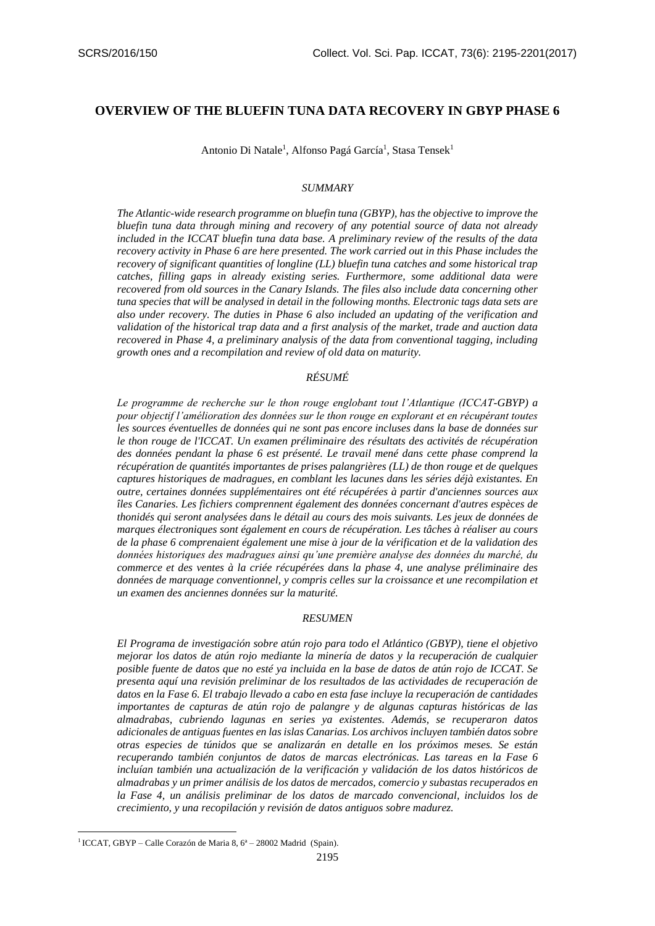# **OVERVIEW OF THE BLUEFIN TUNA DATA RECOVERY IN GBYP PHASE 6**

Antonio Di Natale<sup>1</sup>, Alfonso Pagá García<sup>1</sup>, Stasa Tensek<sup>1</sup>

#### *SUMMARY*

*The Atlantic-wide research programme on bluefin tuna (GBYP), has the objective to improve the bluefin tuna data through mining and recovery of any potential source of data not already included in the ICCAT bluefin tuna data base. A preliminary review of the results of the data recovery activity in Phase 6 are here presented. The work carried out in this Phase includes the recovery of significant quantities of longline (LL) bluefin tuna catches and some historical trap catches, filling gaps in already existing series. Furthermore, some additional data were recovered from old sources in the Canary Islands. The files also include data concerning other tuna species that will be analysed in detail in the following months. Electronic tags data sets are also under recovery. The duties in Phase 6 also included an updating of the verification and validation of the historical trap data and a first analysis of the market, trade and auction data recovered in Phase 4, a preliminary analysis of the data from conventional tagging, including growth ones and a recompilation and review of old data on maturity.*

### *RÉSUMÉ*

*Le programme de recherche sur le thon rouge englobant tout l'Atlantique (ICCAT-GBYP) a pour objectif l'amélioration des données sur le thon rouge en explorant et en récupérant toutes les sources éventuelles de données qui ne sont pas encore incluses dans la base de données sur le thon rouge de l'ICCAT. Un examen préliminaire des résultats des activités de récupération des données pendant la phase 6 est présenté. Le travail mené dans cette phase comprend la récupération de quantités importantes de prises palangrières (LL) de thon rouge et de quelques captures historiques de madragues, en comblant les lacunes dans les séries déjà existantes. En outre, certaines données supplémentaires ont été récupérées à partir d'anciennes sources aux îles Canaries. Les fichiers comprennent également des données concernant d'autres espèces de thonidés qui seront analysées dans le détail au cours des mois suivants. Les jeux de données de marques électroniques sont également en cours de récupération. Les tâches à réaliser au cours de la phase 6 comprenaient également une mise à jour de la vérification et de la validation des données historiques des madragues ainsi qu'une première analyse des données du marché, du commerce et des ventes à la criée récupérées dans la phase 4, une analyse préliminaire des*  données de marquage conventionnel, y compris celles sur la croissance et une recompilation et *un examen des anciennes données sur la maturité.*

### *RESUMEN*

*El Programa de investigación sobre atún rojo para todo el Atlántico (GBYP), tiene el objetivo mejorar los datos de atún rojo mediante la minería de datos y la recuperación de cualquier posible fuente de datos que no esté ya incluida en la base de datos de atún rojo de ICCAT. Se presenta aquí una revisión preliminar de los resultados de las actividades de recuperación de datos en la Fase 6. El trabajo llevado a cabo en esta fase incluye la recuperación de cantidades importantes de capturas de atún rojo de palangre y de algunas capturas históricas de las almadrabas, cubriendo lagunas en series ya existentes. Además, se recuperaron datos adicionales de antiguas fuentes en las islas Canarias. Los archivos incluyen también datos sobre otras especies de túnidos que se analizarán en detalle en los próximos meses. Se están recuperando también conjuntos de datos de marcas electrónicas. Las tareas en la Fase 6 incluían también una actualización de la verificación y validación de los datos históricos de almadrabas y un primer análisis de los datos de mercados, comercio y subastas recuperados en la Fase 4, un análisis preliminar de los datos de marcado convencional, incluidos los de crecimiento, y una recopilación y revisión de datos antiguos sobre madurez.*

**.** 

<sup>&</sup>lt;sup>1</sup> ICCAT, GBYP – Calle Corazón de Maria 8, 6<sup>ª</sup> – 28002 Madrid (Spain).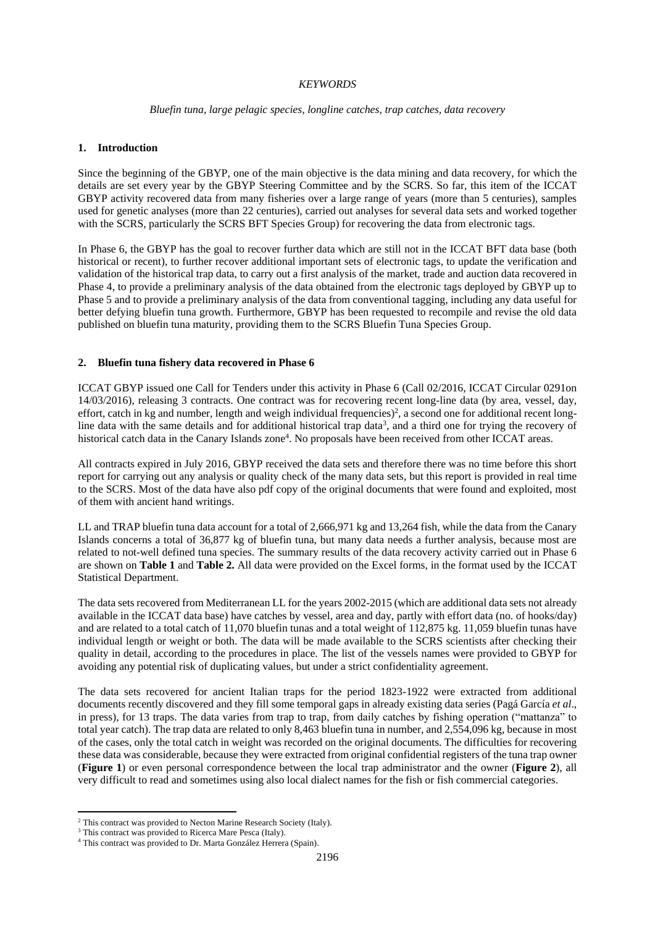### *KEYWORDS*

### *Bluefin tuna, large pelagic species, longline catches, trap catches, data recovery*

## **1. Introduction**

Since the beginning of the GBYP, one of the main objective is the data mining and data recovery, for which the details are set every year by the GBYP Steering Committee and by the SCRS. So far, this item of the ICCAT GBYP activity recovered data from many fisheries over a large range of years (more than 5 centuries), samples used for genetic analyses (more than 22 centuries), carried out analyses for several data sets and worked together with the SCRS, particularly the SCRS BFT Species Group) for recovering the data from electronic tags.

In Phase 6, the GBYP has the goal to recover further data which are still not in the ICCAT BFT data base (both historical or recent), to further recover additional important sets of electronic tags, to update the verification and validation of the historical trap data, to carry out a first analysis of the market, trade and auction data recovered in Phase 4, to provide a preliminary analysis of the data obtained from the electronic tags deployed by GBYP up to Phase 5 and to provide a preliminary analysis of the data from conventional tagging, including any data useful for better defying bluefin tuna growth. Furthermore, GBYP has been requested to recompile and revise the old data published on bluefin tuna maturity, providing them to the SCRS Bluefin Tuna Species Group.

## **2. Bluefin tuna fishery data recovered in Phase 6**

ICCAT GBYP issued one Call for Tenders under this activity in Phase 6 (Call 02/2016, ICCAT Circular 0291on 14/03/2016), releasing 3 contracts. One contract was for recovering recent long-line data (by area, vessel, day, effort, catch in kg and number, length and weigh individual frequencies)<sup>2</sup>, a second one for additional recent longline data with the same details and for additional historical trap data<sup>3</sup>, and a third one for trying the recovery of historical catch data in the Canary Islands zone<sup>4</sup>. No proposals have been received from other ICCAT areas.

All contracts expired in July 2016, GBYP received the data sets and therefore there was no time before this short report for carrying out any analysis or quality check of the many data sets, but this report is provided in real time to the SCRS. Most of the data have also pdf copy of the original documents that were found and exploited, most of them with ancient hand writings.

LL and TRAP bluefin tuna data account for a total of 2,666,971 kg and 13,264 fish, while the data from the Canary Islands concerns a total of 36,877 kg of bluefin tuna, but many data needs a further analysis, because most are related to not-well defined tuna species. The summary results of the data recovery activity carried out in Phase 6 are shown on **Table 1** and **Table 2.** All data were provided on the Excel forms, in the format used by the ICCAT Statistical Department.

The data sets recovered from Mediterranean LL for the years 2002-2015 (which are additional data sets not already available in the ICCAT data base) have catches by vessel, area and day, partly with effort data (no. of hooks/day) and are related to a total catch of 11,070 bluefin tunas and a total weight of 112,875 kg. 11,059 bluefin tunas have individual length or weight or both. The data will be made available to the SCRS scientists after checking their quality in detail, according to the procedures in place. The list of the vessels names were provided to GBYP for avoiding any potential risk of duplicating values, but under a strict confidentiality agreement.

The data sets recovered for ancient Italian traps for the period 1823-1922 were extracted from additional documents recently discovered and they fill some temporal gaps in already existing data series (Pagá García *et al*., in press), for 13 traps. The data varies from trap to trap, from daily catches by fishing operation ("mattanza" to total year catch). The trap data are related to only 8,463 bluefin tuna in number, and 2,554,096 kg, because in most of the cases, only the total catch in weight was recorded on the original documents. The difficulties for recovering these data was considerable, because they were extracted from original confidential registers of the tuna trap owner (**Figure 1**) or even personal correspondence between the local trap administrator and the owner (**Figure 2**), all very difficult to read and sometimes using also local dialect names for the fish or fish commercial categories.

**.** 

<sup>&</sup>lt;sup>2</sup> This contract was provided to Necton Marine Research Society (Italy).

<sup>&</sup>lt;sup>3</sup> This contract was provided to Ricerca Mare Pesca (Italy).

<sup>4</sup> This contract was provided to Dr. Marta González Herrera (Spain).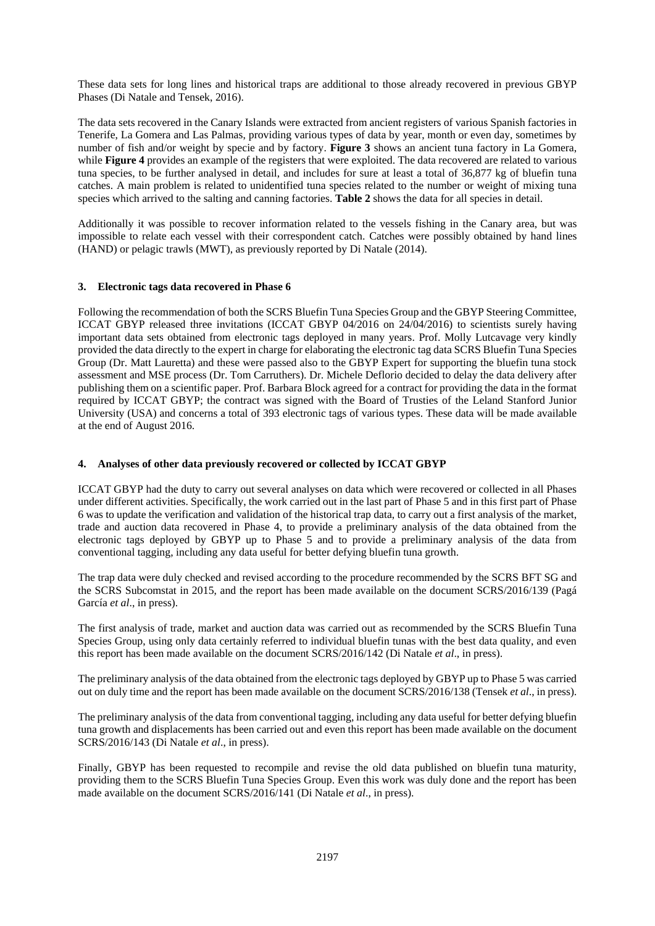These data sets for long lines and historical traps are additional to those already recovered in previous GBYP Phases (Di Natale and Tensek, 2016).

The data sets recovered in the Canary Islands were extracted from ancient registers of various Spanish factories in Tenerife, La Gomera and Las Palmas, providing various types of data by year, month or even day, sometimes by number of fish and/or weight by specie and by factory. **Figure 3** shows an ancient tuna factory in La Gomera, while **Figure 4** provides an example of the registers that were exploited. The data recovered are related to various tuna species, to be further analysed in detail, and includes for sure at least a total of 36,877 kg of bluefin tuna catches. A main problem is related to unidentified tuna species related to the number or weight of mixing tuna species which arrived to the salting and canning factories. **Table 2** shows the data for all species in detail.

Additionally it was possible to recover information related to the vessels fishing in the Canary area, but was impossible to relate each vessel with their correspondent catch. Catches were possibly obtained by hand lines (HAND) or pelagic trawls (MWT), as previously reported by Di Natale (2014).

## **3. Electronic tags data recovered in Phase 6**

Following the recommendation of both the SCRS Bluefin Tuna Species Group and the GBYP Steering Committee, ICCAT GBYP released three invitations (ICCAT GBYP 04/2016 on 24/04/2016) to scientists surely having important data sets obtained from electronic tags deployed in many years. Prof. Molly Lutcavage very kindly provided the data directly to the expert in charge for elaborating the electronic tag data SCRS Bluefin Tuna Species Group (Dr. Matt Lauretta) and these were passed also to the GBYP Expert for supporting the bluefin tuna stock assessment and MSE process (Dr. Tom Carruthers). Dr. Michele Deflorio decided to delay the data delivery after publishing them on a scientific paper. Prof. Barbara Block agreed for a contract for providing the data in the format required by ICCAT GBYP; the contract was signed with the Board of Trusties of the Leland Stanford Junior University (USA) and concerns a total of 393 electronic tags of various types. These data will be made available at the end of August 2016.

#### **4. Analyses of other data previously recovered or collected by ICCAT GBYP**

ICCAT GBYP had the duty to carry out several analyses on data which were recovered or collected in all Phases under different activities. Specifically, the work carried out in the last part of Phase 5 and in this first part of Phase 6 was to update the verification and validation of the historical trap data, to carry out a first analysis of the market, trade and auction data recovered in Phase 4, to provide a preliminary analysis of the data obtained from the electronic tags deployed by GBYP up to Phase 5 and to provide a preliminary analysis of the data from conventional tagging, including any data useful for better defying bluefin tuna growth.

The trap data were duly checked and revised according to the procedure recommended by the SCRS BFT SG and the SCRS Subcomstat in 2015, and the report has been made available on the document SCRS/2016/139 (Pagá García *et al*., in press).

The first analysis of trade, market and auction data was carried out as recommended by the SCRS Bluefin Tuna Species Group, using only data certainly referred to individual bluefin tunas with the best data quality, and even this report has been made available on the document SCRS/2016/142 (Di Natale *et al*., in press).

The preliminary analysis of the data obtained from the electronic tags deployed by GBYP up to Phase 5 was carried out on duly time and the report has been made available on the document SCRS/2016/138 (Tensek *et al*., in press).

The preliminary analysis of the data from conventional tagging, including any data useful for better defying bluefin tuna growth and displacements has been carried out and even this report has been made available on the document SCRS/2016/143 (Di Natale *et al*., in press).

Finally, GBYP has been requested to recompile and revise the old data published on bluefin tuna maturity, providing them to the SCRS Bluefin Tuna Species Group. Even this work was duly done and the report has been made available on the document SCRS/2016/141 (Di Natale *et al*., in press).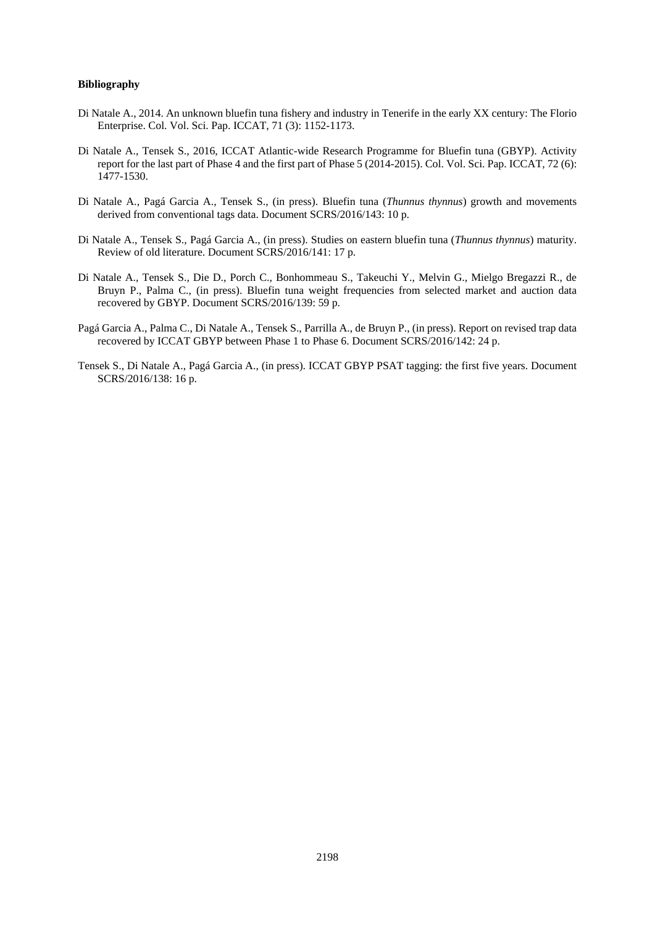### **Bibliography**

- Di Natale A., 2014. An unknown bluefin tuna fishery and industry in Tenerife in the early XX century: The Florio Enterprise. Col. Vol. Sci. Pap. ICCAT, 71 (3): 1152-1173.
- Di Natale A., Tensek S., 2016, ICCAT Atlantic-wide Research Programme for Bluefin tuna (GBYP). Activity report for the last part of Phase 4 and the first part of Phase 5 (2014-2015). Col. Vol. Sci. Pap. ICCAT, 72 (6): 1477-1530.
- Di Natale A., Pagá Garcia A., Tensek S., (in press). Bluefin tuna (*Thunnus thynnus*) growth and movements derived from conventional tags data. Document SCRS/2016/143: 10 p.
- Di Natale A., Tensek S., Pagá Garcia A., (in press). Studies on eastern bluefin tuna (*Thunnus thynnus*) maturity. Review of old literature. Document SCRS/2016/141: 17 p.
- Di Natale A., Tensek S., Die D., Porch C., Bonhommeau S., Takeuchi Y., Melvin G., Mielgo Bregazzi R., de Bruyn P., Palma C., (in press). Bluefin tuna weight frequencies from selected market and auction data recovered by GBYP. Document SCRS/2016/139: 59 p.
- Pagá Garcia A., Palma C., Di Natale A., Tensek S., Parrilla A., de Bruyn P., (in press). Report on revised trap data recovered by ICCAT GBYP between Phase 1 to Phase 6. Document SCRS/2016/142: 24 p.
- Tensek S., Di Natale A., Pagá Garcia A., (in press). ICCAT GBYP PSAT tagging: the first five years. Document SCRS/2016/138: 16 p.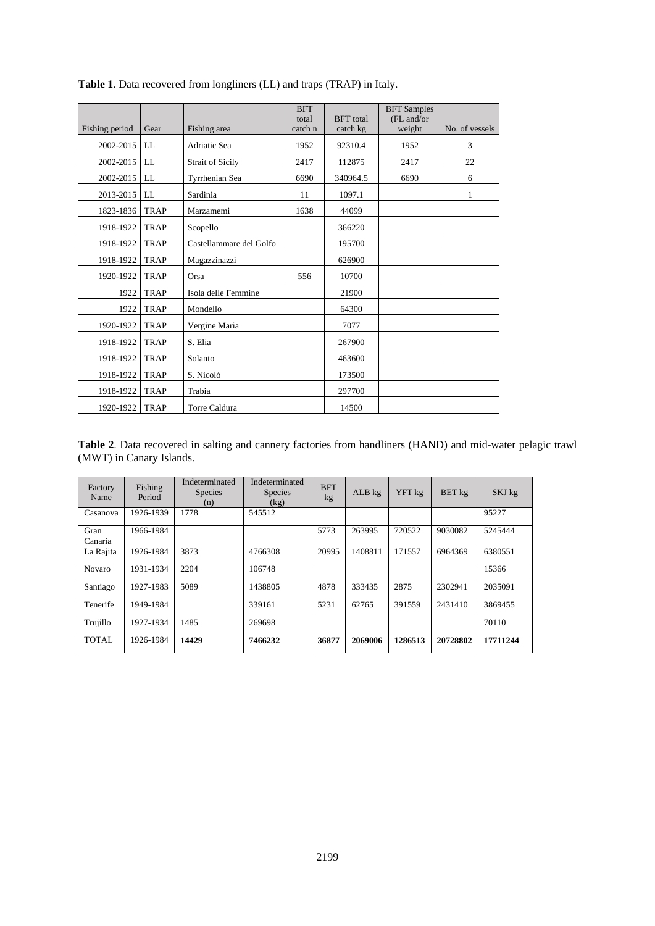|                |             |                         | <b>BFT</b><br>total | <b>BFT</b> total | <b>BFT</b> Samples<br>(FL and/or |                |
|----------------|-------------|-------------------------|---------------------|------------------|----------------------------------|----------------|
| Fishing period | Gear        | Fishing area            | catch n             | catch kg         | weight                           | No. of vessels |
| 2002-2015      | LL          | Adriatic Sea            | 1952                | 92310.4          | 1952                             | 3              |
| 2002-2015      | LL          | <b>Strait of Sicily</b> | 2417                | 112875           | 2417                             | 22             |
| 2002-2015      | LL          | Tyrrhenian Sea          | 6690                | 340964.5         | 6690                             | 6              |
| 2013-2015      | LL          | Sardinia                | 11                  | 1097.1           |                                  | 1              |
| 1823-1836      | <b>TRAP</b> | Marzamemi               | 1638                | 44099            |                                  |                |
| 1918-1922      | <b>TRAP</b> | Scopello                |                     | 366220           |                                  |                |
| 1918-1922      | <b>TRAP</b> | Castellammare del Golfo |                     | 195700           |                                  |                |
| 1918-1922      | <b>TRAP</b> | Magazzinazzi            |                     | 626900           |                                  |                |
| 1920-1922      | <b>TRAP</b> | Orsa                    | 556                 | 10700            |                                  |                |
| 1922           | <b>TRAP</b> | Isola delle Femmine     |                     | 21900            |                                  |                |
| 1922           | <b>TRAP</b> | Mondello                |                     | 64300            |                                  |                |
| 1920-1922      | <b>TRAP</b> | Vergine Maria           |                     | 7077             |                                  |                |
| 1918-1922      | <b>TRAP</b> | S. Elia                 |                     | 267900           |                                  |                |
| 1918-1922      | <b>TRAP</b> | Solanto                 |                     | 463600           |                                  |                |
| 1918-1922      | <b>TRAP</b> | S. Nicolò               |                     | 173500           |                                  |                |
| 1918-1922      | <b>TRAP</b> | Trabia                  |                     | 297700           |                                  |                |
| 1920-1922      | <b>TRAP</b> | <b>Torre Caldura</b>    |                     | 14500            |                                  |                |

**Table 1**. Data recovered from longliners (LL) and traps (TRAP) in Italy.

**Table 2**. Data recovered in salting and cannery factories from handliners (HAND) and mid-water pelagic trawl (MWT) in Canary Islands.

| Factory<br>Name | Fishing<br>Period | Indeterminated<br><b>Species</b><br>(n) | Indeterminated<br><b>Species</b><br>(kg) | <b>BFT</b><br>kg | $ALB$ kg | YFT kg  | BET kg   | SKJ kg   |
|-----------------|-------------------|-----------------------------------------|------------------------------------------|------------------|----------|---------|----------|----------|
| Casanova        | 1926-1939         | 1778                                    | 545512                                   |                  |          |         |          | 95227    |
| Gran<br>Canaria | 1966-1984         |                                         |                                          | 5773             | 263995   | 720522  | 9030082  | 5245444  |
| La Rajita       | 1926-1984         | 3873                                    | 4766308                                  | 20995            | 1408811  | 171557  | 6964369  | 6380551  |
| Novaro          | 1931-1934         | 2204                                    | 106748                                   |                  |          |         |          | 15366    |
| Santiago        | 1927-1983         | 5089                                    | 1438805                                  | 4878             | 333435   | 2875    | 2302941  | 2035091  |
| Tenerife        | 1949-1984         |                                         | 339161                                   | 5231             | 62765    | 391559  | 2431410  | 3869455  |
| Trujillo        | 1927-1934         | 1485                                    | 269698                                   |                  |          |         |          | 70110    |
| TOTAL           | 1926-1984         | 14429                                   | 7466232                                  | 36877            | 2069006  | 1286513 | 20728802 | 17711244 |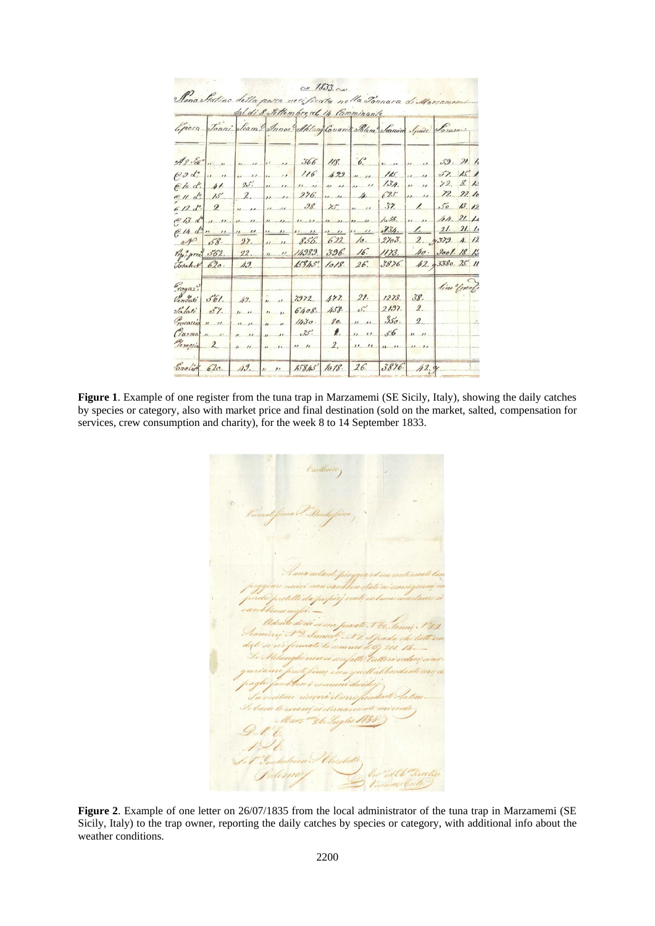|                             |                                                                   |  | Mana Sistino della passa verificata nella Tonnara di Marzomemi                               | au 1833. au    |                             |                                                 |            |  |
|-----------------------------|-------------------------------------------------------------------|--|----------------------------------------------------------------------------------------------|----------------|-----------------------------|-------------------------------------------------|------------|--|
|                             |                                                                   |  | dal di 8 Settembre al 14 Camminante                                                          |                |                             |                                                 |            |  |
|                             |                                                                   |  | Epicca Jonni Seam Innoc Aletung Covari Man Seaming Space Somme                               |                |                             |                                                 |            |  |
|                             |                                                                   |  | As vet 1 1 1 1 1 1 1 366 118. 6.                                                             |                |                             | $\frac{1}{2}$ 11 11 11 59. 21. 11               |            |  |
|                             |                                                                   |  | Rode 11 11 11 11 11 116 429 1111<br>Clod: 11. 25. " " " " " " "                              |                |                             | $16.$ 11. 15. 15. 1<br>$13.4.$ 11 11 12 8. 10   |            |  |
|                             |                                                                   |  | 611 de 15 2. 11 11 276 1 11 15                                                               |                |                             | $625$ $\mu$ $\frac{12}{22}$ to                  |            |  |
| $6/2d^{2}/2$                |                                                                   |  | 11 11 11 11 98. 75 11 11                                                                     |                |                             | $37.$ 1. $50$ 13.12<br>10.58. 11. 11 /4. 21. 11 |            |  |
|                             |                                                                   |  | e 14 d'un 11 11 11 11 11 11 11 11 11 11 11 134. 1 11 21 11<br>of 58. 27. 11 11 856. 622. 10. |                |                             | $27e3.$ 2. $\sqrt{379.}$ A. 12                  |            |  |
|                             |                                                                   |  | Tip: prec 562. 22. 11 11 14989. 396. 16.<br>Totalet 620. 49 15845. 1018. 26.                 |                |                             | 1173. 40. 3001.18 13<br>3876. 42. 3380. 25. 11  |            |  |
|                             |                                                                   |  |                                                                                              |                |                             |                                                 | lim Conale |  |
| $r_{09}a_2$                 | Cenduti 561. 49. 11                                               |  | 7972.                                                                                        |                | 477. 21. 1273. 38.          |                                                 |            |  |
| $\operatorname{valat}'$ 5%. | $T_{\text{recaetic}}$ $n \quad n \quad n \quad n \quad n \quad n$ |  | 6408.<br>1430.                                                                               | 80.            | $458.$ $5.$ $2197.$         | $\mathbb{Z}$ .<br>2.                            |            |  |
|                             | $U$ urma $n$ $n$ $n$ $n$ $n$ $n$<br>Temojn 2, 11 11 11 11 11 11   |  | 35.                                                                                          | $\ell$ .<br>2, | 111356<br>$\frac{n}{1-\mu}$ | $\overline{u}$<br>11.11                         |            |  |
|                             |                                                                   |  | Enclis 620. 49. 11 15845 1018. 26. 3896.                                                     |                |                             | 42.9                                            |            |  |

**Figure 1**. Example of one register from the tuna trap in Marzamemi (SE Sicily, Italy), showing the daily catches by species or category, also with market price and final destination (sold on the market, salted, compensation for services, crew consumption and charity), for the week 8 to 14 September 1833.

**Figure 2**. Example of one letter on 26/07/1835 from the local administrator of the tuna trap in Marzamemi (SE Sicily, Italy) to the trap owner, reporting the daily catches by species or category, with additional info about the weather conditions.